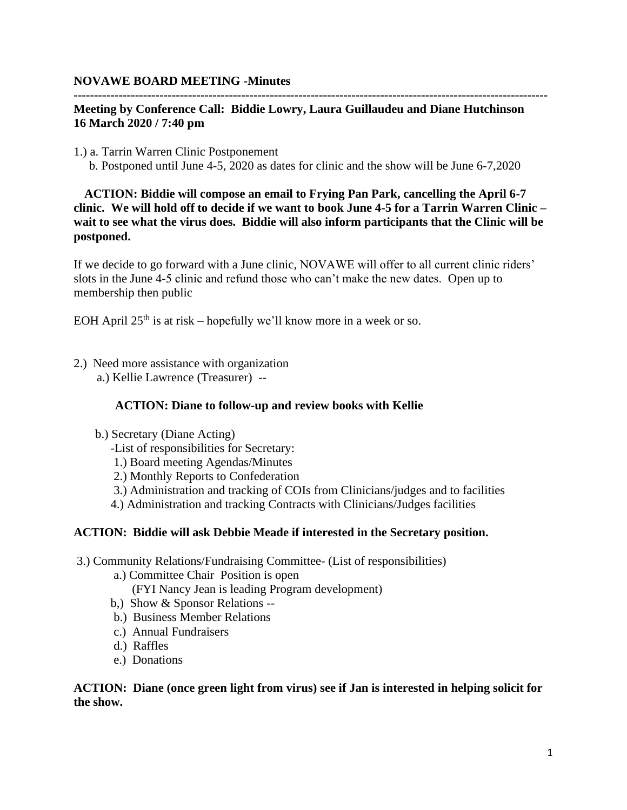### **NOVAWE BOARD MEETING -Minutes**

## **Meeting by Conference Call: Biddie Lowry, Laura Guillaudeu and Diane Hutchinson 16 March 2020 / 7:40 pm**

**--------------------------------------------------------------------------------------------------------------------**

1.) a. Tarrin Warren Clinic Postponement b. Postponed until June 4-5, 2020 as dates for clinic and the show will be June 6-7,2020

 **ACTION: Biddie will compose an email to Frying Pan Park, cancelling the April 6-7 clinic. We will hold off to decide if we want to book June 4-5 for a Tarrin Warren Clinic – wait to see what the virus does. Biddie will also inform participants that the Clinic will be postponed.**

If we decide to go forward with a June clinic, NOVAWE will offer to all current clinic riders' slots in the June 4-5 clinic and refund those who can't make the new dates. Open up to membership then public

EOH April  $25<sup>th</sup>$  is at risk – hopefully we'll know more in a week or so.

- 2.) Need more assistance with organization
	- a.) Kellie Lawrence (Treasurer) --

### **ACTION: Diane to follow-up and review books with Kellie**

- b.) Secretary (Diane Acting)
	- -List of responsibilities for Secretary:
	- 1.) Board meeting Agendas/Minutes
	- 2.) Monthly Reports to Confederation
	- 3.) Administration and tracking of COIs from Clinicians/judges and to facilities
	- 4.) Administration and tracking Contracts with Clinicians/Judges facilities

### **ACTION: Biddie will ask Debbie Meade if interested in the Secretary position.**

- 3.) Community Relations/Fundraising Committee- (List of responsibilities)
	- a.) Committee Chair Position is open
		- (FYI Nancy Jean is leading Program development)
	- b,) Show & Sponsor Relations --
	- b.) Business Member Relations
	- c.) Annual Fundraisers
	- d.) Raffles
	- e.) Donations

**ACTION: Diane (once green light from virus) see if Jan is interested in helping solicit for the show.**